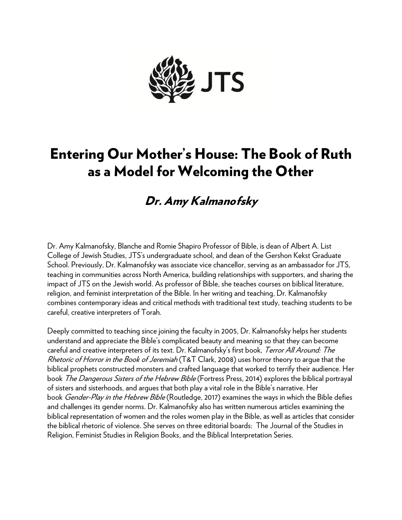

# Entering Our Mother's House: The Book of Ruth as a Model for Welcoming the Other

# Dr. Amy Kalmanofsky

Dr. Amy Kalmanofsky, Blanche and Romie Shapiro Professor of Bible, is dean of Albert A. List College of Jewish Studies, JTS's undergraduate school, and dean of the Gershon Kekst Graduate School. Previously, Dr. Kalmanofsky was associate vice chancellor, serving as an ambassador for JTS, teaching in communities across North America, building relationships with supporters, and sharing the impact of JTS on the Jewish world. As professor of Bible, she teaches courses on biblical literature, religion, and feminist interpretation of the Bible. In her writing and teaching, Dr. Kalmanofsky combines contemporary ideas and critical methods with traditional text study, teaching students to be careful, creative interpreters of Torah.

Deeply committed to teaching since joining the faculty in 2005, Dr. Kalmanofsky helps her students understand and appreciate the Bible's complicated beauty and meaning so that they can become careful and creative interpreters of its text. Dr. Kalmanofsky's first book, Terror All Around: The Rhetoric of Horror in the Book of Jeremiah (T&T Clark, 2008) uses horror theory to arque that the biblical prophets constructed monsters and crafted language that worked to terrify their audience. Her book *The Dangerous Sisters of the Hebrew Bible* (Fortress Press, 2014) explores the biblical portrayal of sisters and sisterhoods, and argues that both play a vital role in the Bible's narrative. Her book Gender-Play in the Hebrew Bible (Routledge, 2017) examines the ways in which the Bible defies and challenges its gender norms. Dr. Kalmanofsky also has written numerous articles examining the biblical representation of women and the roles women play in the Bible, as well as articles that consider the biblical rhetoric of violence. She serves on three editorial boards: The Journal of the Studies in Religion, Feminist Studies in Religion Books, and the Biblical Interpretation Series.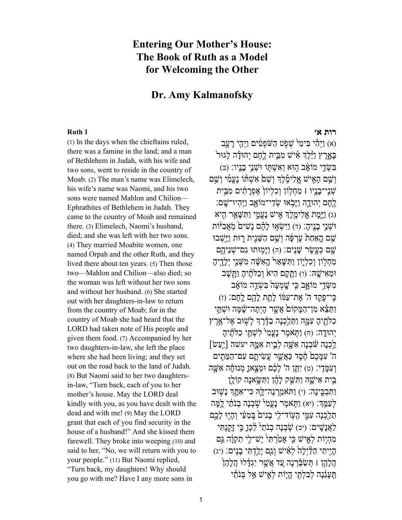## **Entering Our Mother's House: The Book of Ruth as a Model for Welcoming the Other**

## **Dr. Amy Kalmanofsky**

(1) In the days when the chieftains ruled, there was a famine in the land; and a man of Bethlehem in Judah, with his wife and two sons, went to reside in the country of Moab. (2) The man's name was Elimelech, his wife's name was Naomi, and his two sons were named Mahlon and Chilion— Ephrathites of Bethlehem in Judah. They came to the country of Moab and remained there. (3) Elimelech, Naomi's husband, died; and she was left with her two sons. (4) They married Moabite women, one named Orpah and the other Ruth, and they lived there about ten years. (5) Then those two—Mahlon and Chilion—also died; so the woman was left without her two sons and without her husband. (6) She started out with her daughters-in-law to return from the country of Moab; for in the country of Moab she had heard that the LORD had taken note of His people and given them food. (7) Accompanied by her two daughters-in-law, she left the place where she had been living; and they set out on the road back to the land of Judah. (8) But Naomi said to her two daughtersin-law, "Turn back, each of you to her mother's house. May the LORD deal kindly with you, as you have dealt with the dead and with me! (9) May the LORD grant that each of you find security in the house of a husband!" And she kissed them farewell. They broke into weeping (10) and said to her, "No, we will return with you to your people." (11) But Naomi replied, "Turn back, my daughters! Why should you go with me? Have I any more sons in

### **[רות א׳](https://www.sefaria.org/Ruth.1) [1 Ruth](https://www.sefaria.org/Ruth.1)**

(א) וַיְהָי בִּימֵי שָׁפְט הַשֹּׁפְטִים וַיְהֵי רעַב בּאָרֶץ וַיֵּּלֶדְ אִ⁄יֹשׁ מִבֵּית לֶחֶם יְהוּדָה לְגוּר בְּשָׂדֵי מוֹאָב הִוּא וְאָשָׁתְּוֹ וּשָׁנֵי בִנְיו: (ב) וְ וְשֵׁם הָאֵישׁ אֱלִימֶלֶךְ וְשָׁם אֵשָׁתּּ֣וֹ נִעֲמִ֖י וְשֵׁם ֹעָנֵי־בַנֵיו | מַחִלְוֹן וְכִלְיוֹןְ אֱפְרַתְנִים מְבֵּית יָהֶם יְהוּדָה וַיַּבְאוּ שָׂדֵי־מוֹאָב וַיֵּהִיוּ־שֵׁם: (ג) וַיָּמַת אֱלִימֶלֶךְ אֵישׁ נַעֲמֶי וַתְּשָׁאֵר הָיא וּשָׁנֵי בַנֵיהָ: (ד) וַיִּשְׂאִוּ לַהֶ֫ם נַשִּׁים מִאֲבִיּּׁוֹת שֵׁם הַאַחַת עַרְפָּה וְשֵׁם הַשֵּׁנֵית רַוּת וַיֵּּשָׁבוּ שֵׁם כְּעֱשֶׂר שַׁנֵים: (ה) וַיַּמִוּתוּ גַם־שָׁנֵיהֶם מַחָלוֹן וְכָלְיָוֹן וַתְּשֵׁאֵר<sup>ָ</sup> הָאֲשָׁה מִשְׁנֵי יְלִדֶיה וּמֵאִישֵׁהּ: (ו) וַתֲקַם הִיאֹ וְכַלְתֵ֫יהָ וַתֲשָׁב מִשָּׂדֵי מוֹאָב כֵּי שָׁמְעָה בִּשְׂדֶה מוֹאָב כִּי־פַקֵד ה' אֶת־עַמּּׁוֹ לִתֲת לֹהֶם לְחֶם: (ז) וַתֵּצֵּא מִן־הַמֵּקוֹם אֲשֱר הַיִתַה־שַׁמַּה וּשָׁתֵּי כַלְהָיהָ עִמֱהּ וַתֵּלֵכְנָה בַדֶּ֫רֶךְ לָשִׁוּב אֶל־אֶרֶץ יְהוּדָה: (ח) וַתִּאמֶר נִעֲמִי לִשָּׁתֵּי כַלְתֵּ֫יה  $\lceil$ לְכָנָה שַּׁבְנָה אֲשָׁה לְבֵית אָמֵהּ יעשה [יֵעַשׂ] ה' עִמֲכֶםׂ חֶסֶד כַּאֲשֶׁר עֲשִׂיתֱם עִם־הַמֶּתִים וְ עָמֲדִי: (ט) יְתֵּן ה' לַכֶּם וּמְצֵאוַ מְנוּחָה אָשֵׁה בֵּית אִישַׁהּ וַתְּשֵׁק לְהֵן וַתְּשֵׂאנה קוֹלִן וַתְּבְכֵינַה: (י) וַתֹּאמַרְנַה־לֵּהּ כִּי־אָתֲךָ נַשְׁוּב לְעַמֵּ֣דְ: (יא) וַתְּאֹמֶר נַעֲמִי שִׁׁבְנַה בְנֹתַ֫י לֵמֵּה תֲלַכְנָה עִמֶּי הֵעְוֹד־לִי בַנִיםۢ בֵּמֶעַּי וְהָיִוּ לַבֵם לַאֲנַשֵּׁים: (יב) שַׁבְנָה בְנֹתֵ<sup>לְ</sup> לֶכְן כֵּי זָקָנָתִּי מִהְיָוֹת לְאֵישׁ כִּי אֲמַׂרְתִּי יֵשׁ־לֵי תִקְוַ֫ה גַּם הַיִּתִי הַלַּיְלַהֹ לְאִיּשׁ וְגַם יַלֲדְתִּי בָנֵים: (יג) ָהֲלָהֵ֣ן ן תְּשַׂבֵּ֫רְנָה עֵד אֲשֶׁר יְגָדִּלוּ הַלְהָן תֵּעֲגֶנָה לְבָלְתֵּי הָיָוֹת לְאֵישׁ אֲל בְּנֹתַµ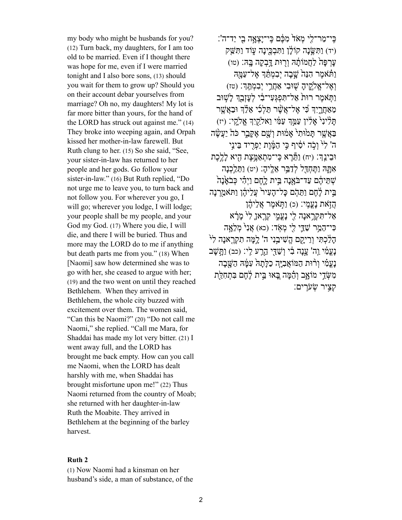my body who might be husbands for you? (12) Turn back, my daughters, for I am too old to be married. Even if I thought there was hope for me, even if I were married tonight and I also bore sons, (13) should you wait for them to grow up? Should you on their account debar yourselves from marriage? Oh no, my daughters! My lot is far more bitter than yours, for the hand of the LORD has struck out against me." (14) They broke into weeping again, and Orpah kissed her mother-in-law farewell. But Ruth clung to her. (15) So she said, "See, your sister-in-law has returned to her people and her gods. Go follow your sister-in-law." (16) But Ruth replied, "Do not urge me to leave you, to turn back and not follow you. For wherever you go, I will go; wherever you lodge, I will lodge; your people shall be my people, and your God my God. (17) Where you die, I will die, and there I will be buried. Thus and more may the LORD do to me if anything but death parts me from you." (18) When [Naomi] saw how determined she was to go with her, she ceased to argue with her; (19) and the two went on until they reached Bethlehem. When they arrived in Bethlehem, the whole city buzzed with excitement over them. The women said, "Can this be Naomi?" (20) "Do not call me Naomi," she replied. "Call me Mara, for Shaddai has made my lot very bitter. (21) I went away full, and the LORD has brought me back empty. How can you call me Naomi, when the LORD has dealt harshly with me, when Shaddai has brought misfortune upon me!" (22) Thus Naomi returned from the country of Moab; she returned with her daughter-in-law Ruth the Moabite. They arrived in Bethlehem at the beginning of the barley harvest.

#### **[Ruth 2](https://www.sefaria.org/Ruth.2)**

(1) Now Naomi had a kinsman on her husband's side, a man of substance, of the

ְכֵּי־מַר־לִי מְאֹדֹ מִכֶּ֫ם כֵּי־יַצְאֲה בִי יַד־ה': (יד) וַתְּשֵׂנָה קוֹלָן וַתְּבְכֵינַה עָוֹד וַתְ*ּ*שֵׁק) עֲרְפָּהֹ לַחֲמוֹתֵׂהּ וְרִוּת דַּבְקָה בֵּהּ: (טו) וַתְּאמֶר הָנֵה<sup>ּ</sup> שָׁבַה יָבְמְתֵּךְ אֶל־עַמַּהּ וְאֱל־אֱלֹקֵיהָ שִׁוּּבִי אֲחֲרֵי יִבְמְתֵּֽךְ׃ (טז) וַתְּאמֶר רוּת<sup>ָ</sup> אֲל־תִּפְגְּעָי־בִׂי לְעַזְבֵךְ לִשְׁוּב מַ הַ הַלְכִֿי אֲלֹדָ וּבַאֲשֵׁר מֵלְכִּי הַלְכִּי הַעֲ תַּ לִינִי אַלִין עַמֵּךְ עַמֵּׂי וַאַלְקֵיָךְ אֱלֹקִי: (יז) בַאֲשֶׁר תָּמֹוּתִי אָמֹוּת וְשֶׁם אֵקֵּבֵר כֹּהْ יַעֲשֶׂה ה' ל<sup>ִי</sup> וְכָה יֹסִיף כֵּי הַמֵּׁוֶת יַפְרִיד בֵּינֵי וּבֵינֵהָ: (יח) וַתֲּרָא כֵּי־מִתְאָמֵצֶת הָיא לִלֶכֶת אִ תָּ ֑ הּ וַתֶּ חְ דַּ ֖ל לְדַ בֵּ֥ר אֵ לֶֽ יהָ׃ (יט) וַתֵּ לַ ֣כְ נָה שְׁתֵּיהֶם עַד־בֹּאֲנָה בֵּיִת לַחֱם וַיְהָי כִּבֹאֲנַה בֵּית לָחֱם וַתֲּהֶם כּל־הִעָיר עֲלֵיהֶן וַתּּאמַרנָה הַזֹאת נַעֲמֶי: (כ) וַתְּאמֶר אֲלֵיהֶן אַל־תִּקְרֵאנַה לִי נַעֲמֶי קְרֵאוַ ל<sup>ְג</sup> מַרַא כִּי־הֲמֵר שַׁדֵּי לִי מְאָד: (כא) אֲנִי מִלְאָה הַלַּכְתִּי וְרֵיקֵם הֵשִׁיבֵנִי ה' לִמֵּה תִקְרֵאנַה לִיּ נַעֲמִ֫י וַה' עֲנָה בִד וְשַׁדֵּי הֱרַע לֵי: (כב) וַתֲּשַׁב נַעֲמִ**֫י וְרֹוּת הַמּוֹאֲבִיָּה כַלַּתַה**ּ עָמֵּ֫הּ הַשֵּׁבַה מִשְּׂדֵי מוֹאָב וְהֶמָּה בֵּאוּ בֵּית לָחֲם בִּתְחָלָת קציר שִׂ עֹריִם: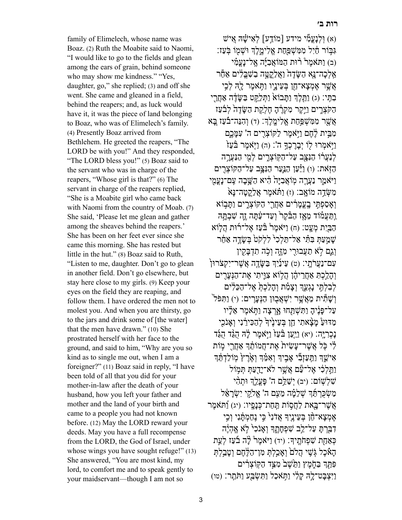family of Elimelech, whose name was Boaz. (2) Ruth the Moabite said to Naomi, "I would like to go to the fields and glean among the ears of grain, behind someone who may show me kindness." "Yes, daughter, go," she replied; (3) and off she went. She came and gleaned in a field, behind the reapers; and, as luck would have it, it was the piece of land belonging to Boaz, who was of Elimelech's family. (4) Presently Boaz arrived from Bethlehem. He greeted the reapers, "The LORD be with you!" And they responded, "The LORD bless you!" (5) Boaz said to the servant who was in charge of the reapers, "Whose girl is that?" (6) The servant in charge of the reapers replied, "She is a Moabite girl who came back with Naomi from the country of Moab. (7) She said, 'Please let me glean and gather among the sheaves behind the reapers.' She has been on her feet ever since she came this morning. She has rested but little in the hut." (8) Boaz said to Ruth, "Listen to me, daughter. Don't go to glean in another field. Don't go elsewhere, but stay here close to my girls. (9) Keep your eyes on the field they are reaping, and follow them. I have ordered the men not to molest you. And when you are thirsty, go to the jars and drink some of [the water] that the men have drawn." (10) She prostrated herself with her face to the ground, and said to him, "Why are you so kind as to single me out, when I am a foreigner?" (11) Boaz said in reply, "I have been told of all that you did for your mother-in-law after the death of your husband, how you left your father and mother and the land of your birth and came to a people you had not known before. (12) May the LORD reward your deeds. May you have a full recompense from the LORD, the God of Israel, under whose wings you have sought refuge!" (13) She answered, "You are most kind, my lord, to comfort me and to speak gently to your maidservant—though I am not so

(א) וּלְנַעֲמָׂי מידע [מוֹדַע] לְאִישָׁׂהּ אֵישׁ גִּבְּוֹר חַׂיִל מִמְּשָׁפַּחַת אֱלִימֱלֶךְ וּשָׁמִוֹ בִּעַז: (ב) וַתּאמֶר רוּת הַמּוֹאָבְי*ּ*ה אֱל־נַעֲמָ֫י אֵלְכַה־נֵּא הַשֵּׂדֶה<sup>י</sup> וַאֲלַקֲטֵה בַשְׁבֵּלִים אַחַר אֲשֶׁר אֶמְצָא־חֵן בְּעֵינֵיו וַתְּאמֶר לַה<del>ָ</del> לְכֵי ּבְתֵּי: (ג) וַתֲלֶךְ וַתֲּבוֹאֹ וַתְּלֵקֵט בַּשֶּׂדֶד אַחֲרֵי הַקֹּצְרֵים וַיֵּקֶר מִקְרֶה חֶלְקַת הַשֵּׂדֶה לְבֹֿעַז אֲשֶׁר מִמְּשָׁפֵּחַת אֱלִימֱלֶךְ: (ד) וְהִנֵּה־בֿעַז בֵּא מְבֵּית לֶחֶם וַיִּאמֶר לַקּוֹצְרִים ה' עִמֲכֵם [יִּאמְרוּ לִוֹ יִבֲרֵכְךָ ה': (ה) וַיִּאמֶר בַּּעֲזֹ לְנַעֲרֹוֹ הַנָּצֵּב עַל־הַקְוֹצְרֵים לְמִי הַנַּעֲרָה הַזְּאת: (ו) וַיַּּעַן הַנֵּעַר הַנְּצֵּב עַל־הַקּוֹצְרִים וַיֹּאמַר נַעֲרָה מִוֹאֲבִיַּהֹ הִיא הַשֵּׁבַה עֵם־נַעֲמִי מִ מִי דֵּה מוֹאָב׃ (ז) וַתְּאמֶר אֶלָקֶטְה־נַּא וְאָסַפְתֵּי בֵעֲמַרִים אַחֲרֵי הַקּוֹצְרֵים וַתַּבְוֹא וַתַּעֲמֹוֹד מֵאָז הַבֹּקֵר<sup>י</sup> וְעַד־עַׂתַּה זֶה שִׁבְתֵּהּ הַבֵּיָת מִעָּט: (ח) וַיֹּאמֶר בַּּעֲז אֱל־רֹוּת הַלְוֹא שַׁמֵעַתְּ בִּתְּ֫י אַל־תֵּלְכִ<sup>נְ</sup> לְלִקֹט<sup>ּ</sup> בְּשֵׂדֶה אַחֵר וְגֵם לֹא תַעֲבוּרִי מְזֶה וְכָה תִדְבָּקִין עִם־נַעֲרֹתֵי: (ט) עֵינַۢיִךְ בַּשֶׂדֶה אֲשֶׁר־יִקְצֹרוּן ` וְהָלֵכָתְ אַחֲרִיהֶן הַלְוֹא צָוֵיתִי אֶת־הַנִּעַרִים לְבִלְתֵּי נַגְעֵךְ וְצָמָ֫ת וְהַלַכְתְּ אֱל־הַכֵּלִים וְ הַנְּעֵרִים: (י) וַתִּפֹּל<sup>ֶי</sup><br>וְ הַנִּעֲרִים: (י עַל־פַּנֶיהַ וַתְּשָׁתַּחוּ אַרְצַה וַתְּאמֶר אֶלָיו מַדּוּעַ מִצַּאתִי חֵן בִּעֵינֵיֽדָּ לְהַכִּירָנִי וְאָנֹכֵי נַכְרְיֵּה: (יא) וַיַּעַן בּֿעַז{ וַיְּאמֶר לַ<sup>נְ</sup>הּ הָגֶּד הָגַּד לִי כָּל אֲשֶׁר־עֲשִׂית אֱת־חֲמוֹתֵ֫ךְ אַחֲרֵי מְוֹת אִישֵׁךְ וַתְּעַזְבִּי אָּבִיךְ וְאִמֵּ֔ךְ וְאֵ<sup>ׂ</sup>הַדְ מִוֹלַדְתֵּ֔דְ וַתֲלִכִּ֫י אֱל־עַם אֲשֶׁר לֹא־יַדֲעַתְּ תִּמְוֹל שִׁלְשָׁוֹם: (יב) יְשַׁלֵּם ה' פַּעֲלֵךְ וּתִהָּי מַשְׂכַּרְתֵּ֫דְּ שָׁלֲמָה מֵעָם ה' אֱלֹקֵי יִשְׂרַאֵּל אֲשֶׁר־בַּאת לַחֲסִוֹת תַּחַת־כְּנִפִּיו: (יג) וַֿתּאמֶר אֶמְצַא־חֵ֫ן בְּעֵינֵיךְ אֲדֹנִי<sup>ׂ</sup> כֵּי נֵחַמְתֵּ֫נִי וְכֵי דַבַּרְתַּ עַל־לֵב שִׁפְחַתֵךְ וְאֲנֹכִ<sup>ל</sup> לֹא אֱהָיֶה כְּאֲחָת שִׁפְחֹתֵיךְ: (יד) וַיֹּאמֶר לָה בֹעַז לְעֵת הַאָּבֶל גִּשֵׁי הֲלִםۤ וְאֲבֵלִתְּ מִן־הַלֵּחֶם וְטַבְלִתְּ פִּתֵּךְ בַּחֶמֶץ וַתֵּיֹשֶׁב מִצַּד הַקִּוֹצָרִים וַיִּצְבַּט־לֵהְ קַלְ<sup>י,</sup> וַתְּאכַל וַתְּשְׂבַּע וַתֹּתֲר: (טו)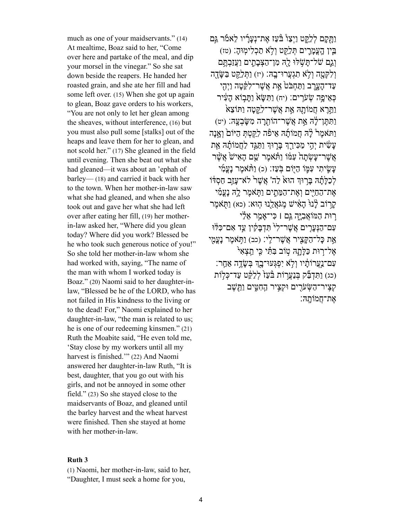much as one of your maidservants." (14) At mealtime, Boaz said to her, "Come over here and partake of the meal, and dip your morsel in the vinegar." So she sat down beside the reapers. He handed her roasted grain, and she ate her fill and had some left over. (15) When she got up again to glean, Boaz gave orders to his workers, "You are not only to let her glean among the sheaves, without interference, (16) but you must also pull some [stalks] out of the heaps and leave them for her to glean, and not scold her." (17) She gleaned in the field until evening. Then she beat out what she had gleaned—it was about an 'ephah of barley— (18) and carried it back with her to the town. When her mother-in-law saw what she had gleaned, and when she also took out and gave her what she had left over after eating her fill, (19) her motherin-law asked her, "Where did you glean today? Where did you work? Blessed be he who took such generous notice of you!" So she told her mother-in-law whom she had worked with, saying, "The name of the man with whom I worked today is Boaz." (20) Naomi said to her daughter-inlaw, "Blessed be he of the LORD, who has not failed in His kindness to the living or to the dead! For," Naomi explained to her daughter-in-law, "the man is related to us; he is one of our redeeming kinsmen." (21) Ruth the Moabite said, "He even told me, 'Stay close by my workers until all my harvest is finished.'" (22) And Naomi answered her daughter-in-law Ruth, "It is best, daughter, that you go out with his girls, and not be annoyed in some other field." (23) So she stayed close to the maidservants of Boaz, and gleaned until the barley harvest and the wheat harvest were finished. Then she stayed at home with her mother-in-law.

#### **[Ruth 3](https://www.sefaria.org/Ruth.3)**

(1) Naomi, her mother-in-law, said to her, "Daughter, I must seek a home for you,

וַתִּקָם לְלַקֵּט וַיְצַוْ בֹּעַז אֶת־נָערִיו לֵאמֹּר גַּם ֥ בֵּ֧ין הָֽ עֳמָ רִ ֛ ים תְּ לַקֵּ֖ ט וְ לֹא תַ כְ לִימֽ וּהָ׃ (טז) וְגֵם שֹׁל־תִּשָׁלוּ לִהְ מִן־הַצִּבְתֵים וַעֲזַבְתֵּם וְלִקְטָה וְלָא תִגְעֲרוּ־בֵהּ׃ (יז) וַתְּלֵקֵט בַּשֲׂדֶה עַד־הָעֲרֶב וַתַּחְבֹּטֹ אֵת אֲשֶׁר־לִקֶּטַה וַיִּהִי כְּאֵיפָה שָׁעַרִים: (יח) וַתֲשָׂא וַתְּבוֹא הִעָּ֫יר  $\frac{1}{2}$ וַתֵּרָא חֲמוֹתָהּ אֶת אֲשֶׁר־לָקֵטָה וַתּוֹצָא וַתִּ תֶּ ן־לָ֔ הּ אֵ֥ ת אֲשֶׁ ר־הוֹתִ ֖ רָ ה מִ שָּׂ בְ עָֽ הּ׃ (יט) וַתֹּאמֶר לָ<sup>יְ</sup>ה חֲמוֹתָנה אֵיפֿה לַקֵּטְתְּ הַיּוֹם<sup>ּ</sup> וְאֲנָה עַשִׂית יְהֵי מַכִּירֵךְ בִּרְוּךְ וַתַּגֵּד לַחֲמוֹתָ*ה* אֶת אֲשֶׁר־עַשָׂתה עַמּוֹ וַתְּאמֶר שֵׁם הַאֲישׁ אֲשֶׁר עִשִׂיתִי עִמֵּוֹ הַיִּוֹם בִּעֲז: (כ) וַתּּאמֶר נַעֲמִי לְכַלַּתָּ֫הּ בַּרוּהְ הוּאֹ לַה' אֲשֶׁר<sup>י</sup> לֹא־עֲזַב חַסְדּוֹ אֶת־הַחַיִּים וְאֶת־הַמֶּתִים וַתְּאמֶר לִהְ נִעֲמִ֫י קְרוֹב לְנוּ הָאִישׁ מֵגֹּאֲלֵנוּ הֵוּא: (כא) וַתְּאמֶר רוּת הַמּוֹאֲבִיַּה גַּם ן כִּי־אֲמֵר אֶלָ<sup>י,</sup> עִם־הַנִּעַרִים אֲשֶׁר־לִי תִּדְבַלְזִין עַד אָם־כָּלֹוּ אֵת כַּל־הַקֵּצִיר אֲשֶׁר־לֵ<sup>נ</sup>: (כב) וַתְּאֹמֶר נַעֲמִי אֶל־רוּת כַּלַּתָהּ טִוֹב בִּתִּ֫י כִּי תֵצְאָי ִ עְם־נַעֲרוֹתַ֫יו וְלָא יִפְגְּעוּ־בֵךְ בְּשֶׂדֶה אַחֱר: (כג) וַתְּדְבָּק בִּנַעֲרוֹת בֹּעֲז໌ לְלַקֶּט עַד־כָּלוֹת קְצֵיר־הַשָּׂ עֹרִים וּקְצֵיר הַחָטֵים וַתֲשֶׁב אֶת־חֲמוֹתֶהּ׃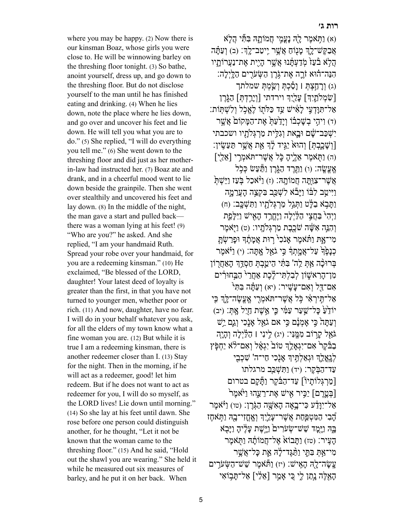where you may be happy. (2) Now there is our kinsman Boaz, whose girls you were close to. He will be winnowing barley on the threshing floor tonight. (3) So bathe, anoint yourself, dress up, and go down to the threshing floor. But do not disclose yourself to the man until he has finished eating and drinking. (4) When he lies down, note the place where he lies down, and go over and uncover his feet and lie down. He will tell you what you are to do." (5) She replied, "I will do everything you tell me." (6) She went down to the threshing floor and did just as her motherin-law had instructed her. (7) Boaz ate and drank, and in a cheerful mood went to lie down beside the grainpile. Then she went over stealthily and uncovered his feet and lay down. (8) In the middle of the night, the man gave a start and pulled back there was a woman lying at his feet! (9) "Who are you?" he asked. And she replied, "I am your handmaid Ruth. Spread your robe over your handmaid, for you are a redeeming kinsman." (10) He exclaimed, "Be blessed of the LORD, daughter! Your latest deed of loyalty is greater than the first, in that you have not turned to younger men, whether poor or rich. (11) And now, daughter, have no fear. I will do in your behalf whatever you ask, for all the elders of my town know what a fine woman you are. (12) But while it is true I am a redeeming kinsman, there is another redeemer closer than I. (13) Stay for the night. Then in the morning, if he will act as a redeemer, good! let him redeem. But if he does not want to act as redeemer for you, I will do so myself, as the LORD lives! Lie down until morning." (14) So she lay at his feet until dawn. She rose before one person could distinguish another, for he thought, "Let it not be known that the woman came to the threshing floor." (15) And he said, "Hold out the shawl you are wearing." She held it while he measured out six measures of barley, and he put it on her back. When

(א) וַתְּאמֶר לָהְ נַעֲמֶי חֲמוֹתָהּ בִּתָּי הַלְא אֲבַקֶּשׁ־לֵךְ מַנְוֹחַ אֲשֶׁר יִיטַב־לֵךְ: (ב) וְעַתָּ֫ה הַלְאׁ בֿעַזֹ מִדַעְתַּ֫נוּ אֲשֶׁר הַיִית אֶת־נַעֲרוֹתַיו הִנֶּה־הוּא זֹרֱה אֶת־גֹּרֶן הַשְּׂעֹרִים הַלֵּיְלָה: (ג) וְרָהַצָּתָּ | וַסַּבְתְּ וְשַׂמְתָּ שמלתך [שָׂמְלֹתֵיִךְ] עַלַיֵךְ וירדתי [וִירֵדְתָ] הַגָּרֶן אַל־תִּוּ*ַדְעֵי לַאָּישׁ עַד כַּלּ*תְוֹ לֵאֱכִל וְלִשָּׁתְּוֹת: (ד) וְיִהֵי בְשָׁכְבֹוֹ וְיַדֲעָתָּ אֶת־הַמֵּקוֹם אֲשֱר יִשְׁכַּב־שֵׁׁם וּבֵאת וְגִלֵּית מַרְגְּלֹתָיו ושכבתי [וְשַׁכֵרָתִּ] וְהוּא<sup>ַ</sup> יַגִּיד לַדְ אֵת אֲשֵׁר תַּעַשֵׂין: (ה) וַתְּאמֶר אֱלֵיהָ כֵֹּל אֲשֶׁר־תֹּאמֶרִי [אֶלֵי] אֶעֱשֶׂה: (ו) וַתֲּרֶד הַגָּרֵן וַתַּעֲשׂ כִּכְל אֲשֶׁר־צְוַּתֲה חֲמוֹתֵה: (ז) וַ<sup>3</sup>ּאכַל בִּעַז וַיֵּשְׁתָּ וַיִּיטַב לִבּֿוֹ וַיּבֹّא לִשְׁכַּב בִּקְצֶה הִעֲרָמֵה וַתָּבְא בַלָּט וַתְּגַל מַרְגְּלֹתָיו וַתִּשְׁבֵּב: (ח) וַיִּהָ<sup>ֶּ</sup> בַּחֲצֵי הַלַּיְלַה וַיֵּחֲרַד הַאָישׁ וַיִּלָּפֵת וְהָנֵּה אֲשֶׁה שַׁכֲבָת מַרְגְּלֹתְיו: (ט) וַיִּאמֶר מִי־אָתּ וַתֹּאמֶר אַנֹכִ<sup>ל</sup> רוּת אֲמֹתֶד וּפַרַשָּׂת כְנַפֶּ֫ עַל־אֲמֵתִךְ כֵּי גֹאֵל אַתֲּה: (י) וַיֹּאמֶר בְּרוּכָ֫ה אַתְּ לֵה' בִּתְּ֫י הֵיטֵבְתְּ חַסְדֵּ֣דְ הַאַחֲרְוֹן מִו־הַרְאֹשָׁוֹן לְבָלְתֵּי־לֶבֶת אַחֲרֵי הַבַּחוּרִים אִם־דַּל וְאִם־עַשֵׁיר: (יא) וְעַתֲּה בִּתְּי אַל־תֵּירְאָי כִּל אֲשֶׁר־ת<sup>ָ</sup>אמְרִי אֱעֱשֶׂה־לֵּךְ כִּי יוֹדָעַ כַּל־שֵׁעַר עַמְּ֫י כֵּי אֱשֶׁת חַיָּל אֶתְּ׃ (יב) וְ עַתְּהֹ כֵּי אִמְנֹם כֵּי אִם גֹאֵל אַנָכִי וְגֵם יֵשׁ  $\vec{z}$ גֹּאֵל קָרוֹב מְמֵּנִּי: (יג) לִינִי | הַלַּיְלֹה וְהִיָּה בַבּֿקֵר<sup>י</sup> אָם־יִגְאָלֵֽךְ טוֹב<sup>י</sup> יְגְאָ֫ל וְאָם־לֹא יַחְפִּ֫ץ לְגְאֶלֶךְ וּגְאַלְתֵּיךְ אַנְכִי חַי־ה' שָׁכְבִי עַד־הַבִּ֫קֶר: (יד) וַתְּשָׁכֵּב מרגלתו [מַרְגְּלוֹתַיוֹٓ] עַד־הַבֿֿקֶר וַתֲּקַם בטרום [בָּטֱרֶם] יַכֵּיר אִישׁ אֶת־רֲעֱהוּ וַיּ<sup>ֹּ</sup>אמֶר אַל־יִוּדַע כִּי־בְאָה האָשָׁה הַגָּרֵן: (טו) וַיֹּאמֶר הָבִי הַמְּטְפֵּחַת אֲשֶׁר־עֲלֵיִךְ וְאֱחֲזִי־בָהּ וַתְּאֹחֶז בָּהּ וַיָּמֵד שֵׁשׁ־שָׂעֹרִים<sup>ַ</sup> וַיֵּשֶׁת עַלְיהָ וַיַּבְא הַעֵּיר: (טז) וַתֲּבוֹאֹ אֱל־חֲמוֹתָ֫הּ וַתְּאֹמֶר מִי־אַתְּ בִּתְּי וַתַּ֫גֶּד־לִׂהְ אֵת כַּל־אֲשֶׁר עֵשׁה־לָה הַאֵישׁ: (יז) וַתְּּאמֶר שֵׁשׁ־הַשְּׂעֹרִים הָאֲלֶה נִתַּו לֵי כִּי אַמַר [אֶלֶי] אַל־תִּבוֹאֵי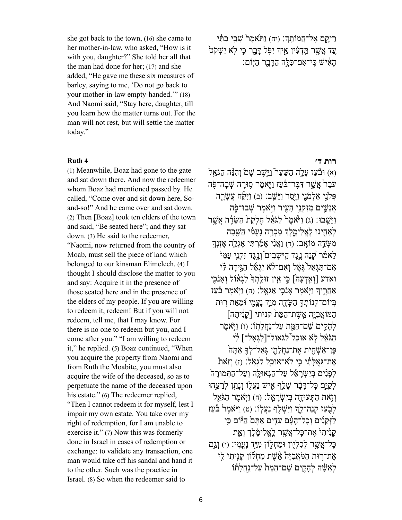she got back to the town, (16) she came to her mother-in-law, who asked, "How is it with you, daughter?" She told her all that the man had done for her; (17) and she added, "He gave me these six measures of barley, saying to me, 'Do not go back to your mother-in-law empty-handed.'" (18) And Naomi said, "Stay here, daughter, till you learn how the matter turns out. For the man will not rest, but will settle the matter today."

(1) Meanwhile, Boaz had gone to the gate and sat down there. And now the redeemer whom Boaz had mentioned passed by. He called, "Come over and sit down here, Soand-so!" And he came over and sat down. (2) Then [Boaz] took ten elders of the town and said, "Be seated here"; and they sat down. (3) He said to the redeemer, "Naomi, now returned from the country of Moab, must sell the piece of land which belonged to our kinsman Elimelech. (4) I thought I should disclose the matter to you and say: Acquire it in the presence of those seated here and in the presence of the elders of my people. If you are willing to redeem it, redeem! But if you will not redeem, tell me, that I may know. For there is no one to redeem but you, and I come after you." "I am willing to redeem it," he replied. (5) Boaz continued, "When you acquire the property from Naomi and from Ruth the Moabite, you must also acquire the wife of the deceased, so as to perpetuate the name of the deceased upon his estate." (6) The redeemer replied, "Then I cannot redeem it for myself, lest I impair my own estate. You take over my right of redemption, for I am unable to exercise it." (7) Now this was formerly done in Israel in cases of redemption or exchange: to validate any transaction, one man would take off his sandal and hand it to the other. Such was the practice in Israel. (8) So when the redeemer said to

רֵיקֵם אֱל־חֲמוֹתֵ֣דְ: (יח) וַתּּצׁמֶר שָׁבֵי בִתְּ֫י ֿ עַד אֲשֱר תֵּדְעָין אֵיִךְ יִפְּל דָּבֵר כִּי לֹא יִשָׁקֹט הָאִישׁ כֵּי־אָם־כִּלָּה הַדִּבְר הַיִּֽוֹם:

### **[רות ד׳](https://www.sefaria.org/Ruth.4) [4 Ruth](https://www.sefaria.org/Ruth.4)**

(א) וּבֿעַז עַלֵה הַשֵּׁעַר וַיֵּשֵׁב שַׁםׂ וְהָנֵּה הַגֹּאֵל עֹבֶר אֲשֶׁר דָּבֶּר־בֹּעָז וַיֵּאמֶר סוּרָה שָׁבַה־פִּה פְּלְנֵי אַלְמֹנֵי וַיַּסֵר וַיֵּשֵׁב: (ב) וַיִּקֶּח עֲשֻׂרֶה אֲנַשֵׁים מִזִּקְנֵי הַעִּיר וַיִּאמֶר שָׁבוּ־פָׂה וַיֵּשֵׁבוּ: (ג) וַיֹּאמֶרֹ לַגֹּאֵל חַלְקַתֹּ הַשַּׂדֶה אֲשֶׁר לְאַחִינוּ לָאֱלִימֶלֶךְ מִכְרָה נַעֲמִ֫י הַשַּׁבַה מִשְׁדֵה מוֹאֵֽב׃ (ד) וַאֲנִ<sup>ׂנְ</sup> אֲמַרְתִּי אֶגְלֵה אַזְנְךָ לֵאמֿר קְֿנֵה נֵגֶד הַיֹּשָׁבִים וְנֵגֶד זִקְנֵי עַמִּי אָם־תִּגְאָל גְּאָל וְאָם־לֹא יְגְאָל הַגִּידָה לִּי ואדע [וְאֱדְעָה] כֵּי אֵין זוּלְתְדָּ לְגָאוֹל וְאַנֹכֵי אַחֲרֵיךְ וַיְּׂאמֶר אֲנֹכֵי אֶגְאֲל: (ה) וַיְּאמֶר בֹּעַז בְיוֹם־קְנוֹתְךָ הַשֶּׂדֶה מְיַּד נַעֲמֵי וּٗמֶאֵת רִוּת הַמּוֹאֲבִיּה אֵשֶׁת־הַמֵּת קניתי [קִנִיתָה] לְהָקִים שֵׁם־הָמֵת עַל־נַחֲלֹתָוֹ: (ו) וַיִּ**ֹּאמֶר** הַגֹּאֵל לִא אוּכַל<sup>י </sup>לגאול־[לִגְאל־] לִי פֶּן־אַשָׁחִית אֶת־נַחֲלָתֵי גְּאַל־לְךָ אַתַּה אֶת־גְּאָלְתִי כֵּי לְּאִ־אוּכַל לְגָאָל: (ז) וְזֹאת לְפַנִּים בְּיָשָׂראֵ֫ל עַל־הַגְּאוּלָה וְעַל־הַתְּמוּרה לְקַיֵּם כַּל־דָּבָר שַׁלֵף אֵישׁ נַעֲלוֹ וְנַתַן לְרָעֵהוּ וְזָאת הַתְּעוּדָה בְּיִשְׂרַאֱלֹ: (ח) וַיִּאמֶר הַגֹּאֵל לְבָעַז קְנֵה־לֶךְ וַיִּשְׁלֶֹף נַעֲלוֹ: (ט) וַיֹּאמֶר בּּעַז לַזִּקְנִים וְכל־הִעָּׁם עֲדֵים אַתֵּם הַיּּׂוֹם כֵּי קַנִ<sup>י</sup>תִי אֶת־כַּל־אֲשֶׁר לֶאֱלִימֶ֫לֶךְ וְאֵת כּל־אֵשֶׁר לְכָלְיָוֹן וּמַחָלְוֹן מִיַּדְ נַעֲמֵי: (י) וְגֵם אֶת־רוּת הַמֹּאֲבִיּה<sup>ָ</sup> אֶ $\ddot{w}$ ת מַחָלוֹן קִנַיתִי לִי לְאֵשָּׁה לְהִקִים שֵׁם־הַמֵּתוֹ עַל־נַחֲלֹתוֹ